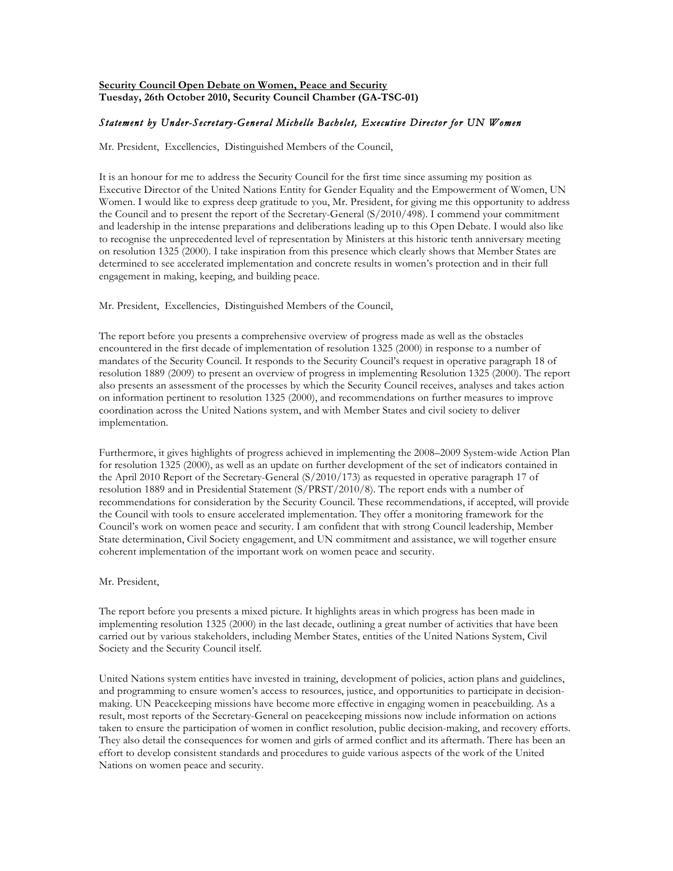# **Security Council Open Debate on Women, Peace and Security Tuesday, 26th October 2010, Security Council Chamber (GA-TSC-01)**

# *Statement by Under-Secretary-General Michelle Bachelet, Executive Director for UN Women*

Mr. President, Excellencies, Distinguished Members of the Council,

It is an honour for me to address the Security Council for the first time since assuming my position as Executive Director of the United Nations Entity for Gender Equality and the Empowerment of Women, UN Women. I would like to express deep gratitude to you, Mr. President, for giving me this opportunity to address the Council and to present the report of the Secretary-General (S/2010/498). I commend your commitment and leadership in the intense preparations and deliberations leading up to this Open Debate. I would also like to recognise the unprecedented level of representation by Ministers at this historic tenth anniversary meeting on resolution 1325 (2000). I take inspiration from this presence which clearly shows that Member States are determined to see accelerated implementation and concrete results in women's protection and in their full engagement in making, keeping, and building peace.

## Mr. President, Excellencies, Distinguished Members of the Council,

The report before you presents a comprehensive overview of progress made as well as the obstacles encountered in the first decade of implementation of resolution 1325 (2000) in response to a number of mandates of the Security Council. It responds to the Security Council's request in operative paragraph 18 of resolution 1889 (2009) to present an overview of progress in implementing Resolution 1325 (2000). The report also presents an assessment of the processes by which the Security Council receives, analyses and takes action on information pertinent to resolution 1325 (2000), and recommendations on further measures to improve coordination across the United Nations system, and with Member States and civil society to deliver implementation.

Furthermore, it gives highlights of progress achieved in implementing the 2008–2009 System-wide Action Plan for resolution 1325 (2000), as well as an update on further development of the set of indicators contained in the April 2010 Report of the Secretary-General (S/2010/173) as requested in operative paragraph 17 of resolution 1889 and in Presidential Statement (S/PRST/2010/8). The report ends with a number of recommendations for consideration by the Security Council. These recommendations, if accepted, will provide the Council with tools to ensure accelerated implementation. They offer a monitoring framework for the Council's work on women peace and security. I am confident that with strong Council leadership, Member State determination, Civil Society engagement, and UN commitment and assistance, we will together ensure coherent implementation of the important work on women peace and security.

### Mr. President,

The report before you presents a mixed picture. It highlights areas in which progress has been made in implementing resolution 1325 (2000) in the last decade, outlining a great number of activities that have been carried out by various stakeholders, including Member States, entities of the United Nations System, Civil Society and the Security Council itself.

United Nations system entities have invested in training, development of policies, action plans and guidelines, and programming to ensure women's access to resources, justice, and opportunities to participate in decisionmaking. UN Peacekeeping missions have become more effective in engaging women in peacebuilding. As a result, most reports of the Secretary-General on peacekeeping missions now include information on actions taken to ensure the participation of women in conflict resolution, public decision-making, and recovery efforts. They also detail the consequences for women and girls of armed conflict and its aftermath. There has been an effort to develop consistent standards and procedures to guide various aspects of the work of the United Nations on women peace and security.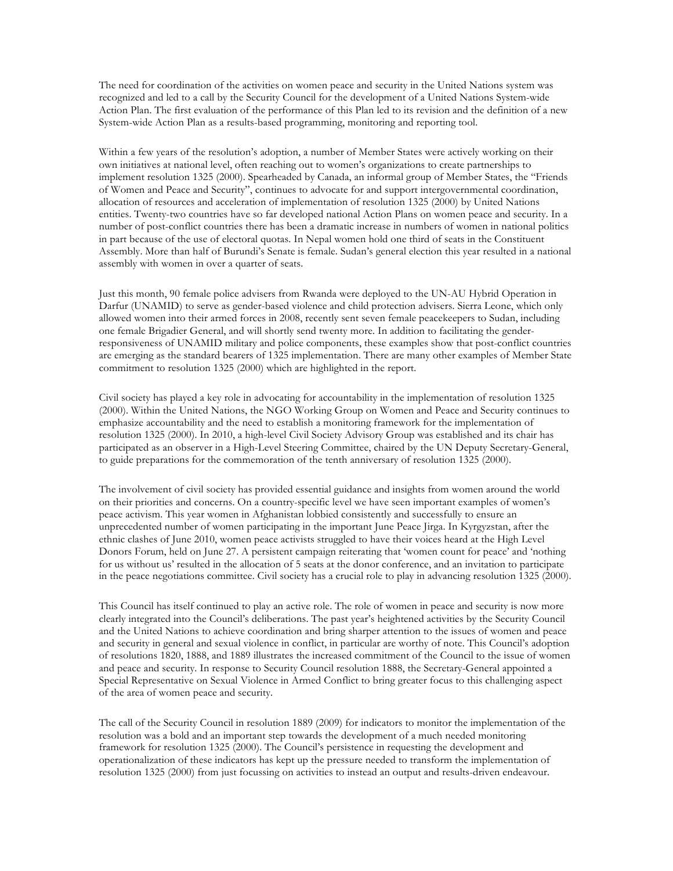The need for coordination of the activities on women peace and security in the United Nations system was recognized and led to a call by the Security Council for the development of a United Nations System-wide Action Plan. The first evaluation of the performance of this Plan led to its revision and the definition of a new System-wide Action Plan as a results-based programming, monitoring and reporting tool.

Within a few years of the resolution's adoption, a number of Member States were actively working on their own initiatives at national level, often reaching out to women's organizations to create partnerships to implement resolution 1325 (2000). Spearheaded by Canada, an informal group of Member States, the "Friends of Women and Peace and Security", continues to advocate for and support intergovernmental coordination, allocation of resources and acceleration of implementation of resolution 1325 (2000) by United Nations entities. Twenty-two countries have so far developed national Action Plans on women peace and security. In a number of post-conflict countries there has been a dramatic increase in numbers of women in national politics in part because of the use of electoral quotas. In Nepal women hold one third of seats in the Constituent Assembly. More than half of Burundi's Senate is female. Sudan's general election this year resulted in a national assembly with women in over a quarter of seats.

Just this month, 90 female police advisers from Rwanda were deployed to the UN-AU Hybrid Operation in Darfur (UNAMID) to serve as gender-based violence and child protection advisers. Sierra Leone, which only allowed women into their armed forces in 2008, recently sent seven female peacekeepers to Sudan, including one female Brigadier General, and will shortly send twenty more. In addition to facilitating the genderresponsiveness of UNAMID military and police components, these examples show that post-conflict countries are emerging as the standard bearers of 1325 implementation. There are many other examples of Member State commitment to resolution 1325 (2000) which are highlighted in the report.

Civil society has played a key role in advocating for accountability in the implementation of resolution 1325 (2000). Within the United Nations, the NGO Working Group on Women and Peace and Security continues to emphasize accountability and the need to establish a monitoring framework for the implementation of resolution 1325 (2000). In 2010, a high-level Civil Society Advisory Group was established and its chair has participated as an observer in a High-Level Steering Committee, chaired by the UN Deputy Secretary-General, to guide preparations for the commemoration of the tenth anniversary of resolution 1325 (2000).

The involvement of civil society has provided essential guidance and insights from women around the world on their priorities and concerns. On a country-specific level we have seen important examples of women's peace activism. This year women in Afghanistan lobbied consistently and successfully to ensure an unprecedented number of women participating in the important June Peace Jirga. In Kyrgyzstan, after the ethnic clashes of June 2010, women peace activists struggled to have their voices heard at the High Level Donors Forum, held on June 27. A persistent campaign reiterating that 'women count for peace' and 'nothing for us without us' resulted in the allocation of 5 seats at the donor conference, and an invitation to participate in the peace negotiations committee. Civil society has a crucial role to play in advancing resolution 1325 (2000).

This Council has itself continued to play an active role. The role of women in peace and security is now more clearly integrated into the Council's deliberations. The past year's heightened activities by the Security Council and the United Nations to achieve coordination and bring sharper attention to the issues of women and peace and security in general and sexual violence in conflict, in particular are worthy of note. This Council's adoption of resolutions 1820, 1888, and 1889 illustrates the increased commitment of the Council to the issue of women and peace and security. In response to Security Council resolution 1888, the Secretary-General appointed a Special Representative on Sexual Violence in Armed Conflict to bring greater focus to this challenging aspect of the area of women peace and security.

The call of the Security Council in resolution 1889 (2009) for indicators to monitor the implementation of the resolution was a bold and an important step towards the development of a much needed monitoring framework for resolution 1325 (2000). The Council's persistence in requesting the development and operationalization of these indicators has kept up the pressure needed to transform the implementation of resolution 1325 (2000) from just focussing on activities to instead an output and results-driven endeavour.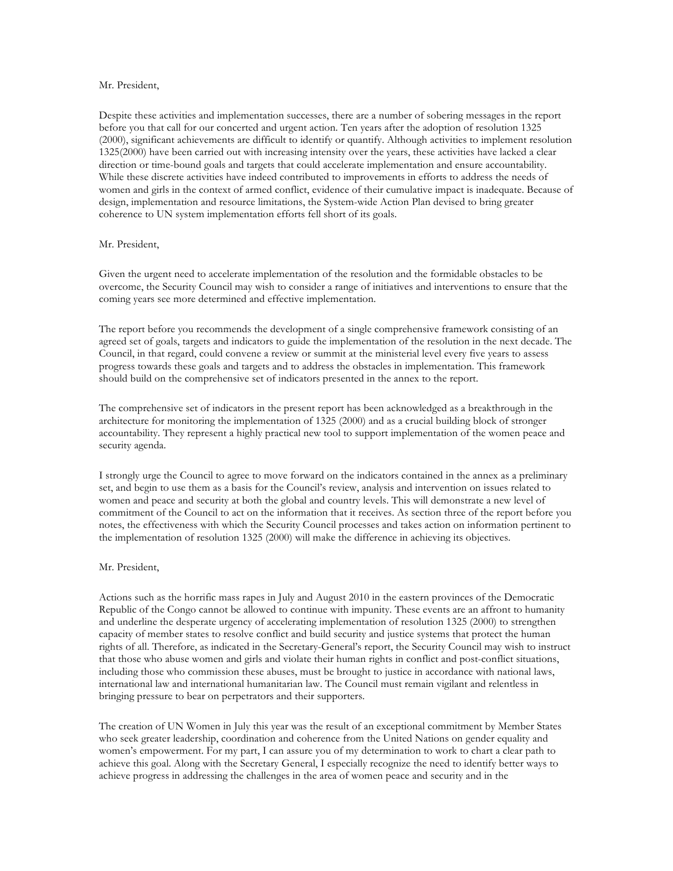### Mr. President,

Despite these activities and implementation successes, there are a number of sobering messages in the report before you that call for our concerted and urgent action. Ten years after the adoption of resolution 1325 (2000), significant achievements are difficult to identify or quantify. Although activities to implement resolution 1325(2000) have been carried out with increasing intensity over the years, these activities have lacked a clear direction or time-bound goals and targets that could accelerate implementation and ensure accountability. While these discrete activities have indeed contributed to improvements in efforts to address the needs of women and girls in the context of armed conflict, evidence of their cumulative impact is inadequate. Because of design, implementation and resource limitations, the System-wide Action Plan devised to bring greater coherence to UN system implementation efforts fell short of its goals.

### Mr. President,

Given the urgent need to accelerate implementation of the resolution and the formidable obstacles to be overcome, the Security Council may wish to consider a range of initiatives and interventions to ensure that the coming years see more determined and effective implementation.

The report before you recommends the development of a single comprehensive framework consisting of an agreed set of goals, targets and indicators to guide the implementation of the resolution in the next decade. The Council, in that regard, could convene a review or summit at the ministerial level every five years to assess progress towards these goals and targets and to address the obstacles in implementation. This framework should build on the comprehensive set of indicators presented in the annex to the report.

The comprehensive set of indicators in the present report has been acknowledged as a breakthrough in the architecture for monitoring the implementation of 1325 (2000) and as a crucial building block of stronger accountability. They represent a highly practical new tool to support implementation of the women peace and security agenda.

I strongly urge the Council to agree to move forward on the indicators contained in the annex as a preliminary set, and begin to use them as a basis for the Council's review, analysis and intervention on issues related to women and peace and security at both the global and country levels. This will demonstrate a new level of commitment of the Council to act on the information that it receives. As section three of the report before you notes, the effectiveness with which the Security Council processes and takes action on information pertinent to the implementation of resolution 1325 (2000) will make the difference in achieving its objectives.

### Mr. President,

Actions such as the horrific mass rapes in July and August 2010 in the eastern provinces of the Democratic Republic of the Congo cannot be allowed to continue with impunity. These events are an affront to humanity and underline the desperate urgency of accelerating implementation of resolution 1325 (2000) to strengthen capacity of member states to resolve conflict and build security and justice systems that protect the human rights of all. Therefore, as indicated in the Secretary-General's report, the Security Council may wish to instruct that those who abuse women and girls and violate their human rights in conflict and post-conflict situations, including those who commission these abuses, must be brought to justice in accordance with national laws, international law and international humanitarian law. The Council must remain vigilant and relentless in bringing pressure to bear on perpetrators and their supporters.

The creation of UN Women in July this year was the result of an exceptional commitment by Member States who seek greater leadership, coordination and coherence from the United Nations on gender equality and women's empowerment. For my part, I can assure you of my determination to work to chart a clear path to achieve this goal. Along with the Secretary General, I especially recognize the need to identify better ways to achieve progress in addressing the challenges in the area of women peace and security and in the